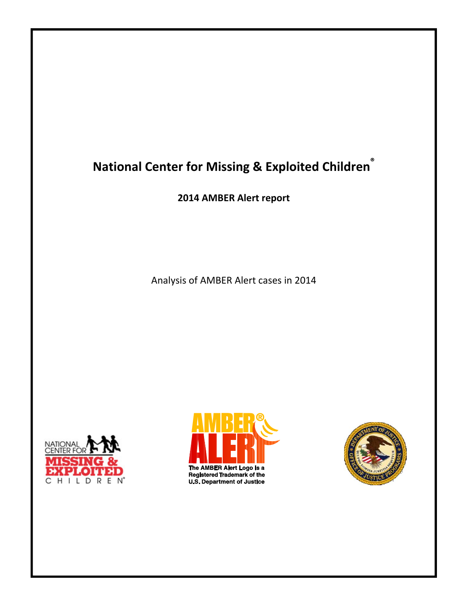# **National Center for Missing & Exploited Children®**

**2014 AMBER Alert report**

Analysis of AMBER Alert cases in 2014



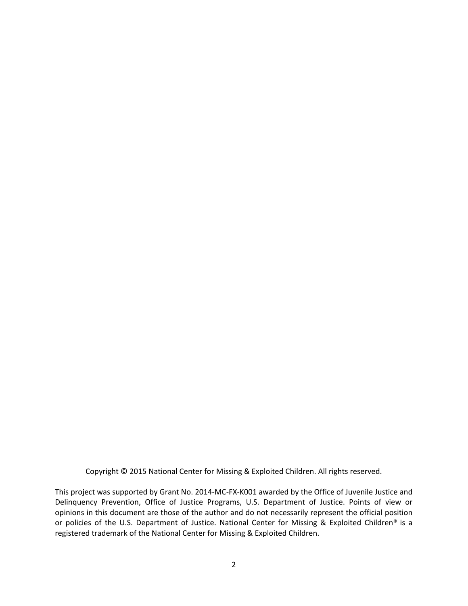Copyright © 2015 National Center for Missing & Exploited Children. All rights reserved.

This project was supported by Grant No. 2014‐MC‐FX‐K001 awarded by the Office of Juvenile Justice and Delinquency Prevention, Office of Justice Programs, U.S. Department of Justice. Points of view or opinions in this document are those of the author and do not necessarily represent the official position or policies of the U.S. Department of Justice. National Center for Missing & Exploited Children® is a registered trademark of the National Center for Missing & Exploited Children.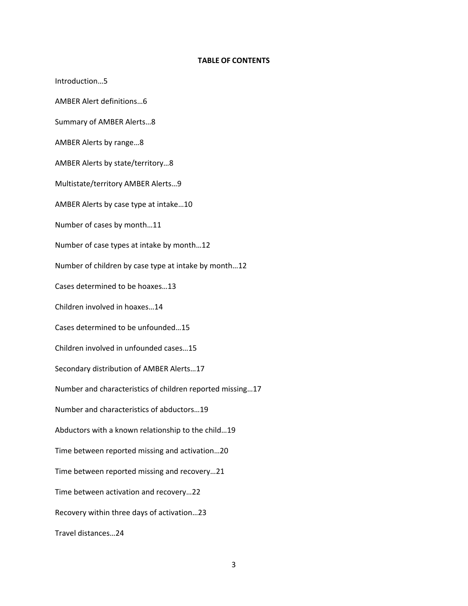#### **TABLE OF CONTENTS**

Introduction…5 AMBER Alert definitions…6 Summary of AMBER Alerts…8 AMBER Alerts by range…8 AMBER Alerts by state/territory…8 Multistate/territory AMBER Alerts…9 AMBER Alerts by case type at intake…10 Number of cases by month…11 Number of case types at intake by month…12 Number of children by case type at intake by month…12 Cases determined to be hoaxes…13 Children involved in hoaxes…14 Cases determined to be unfounded…15 Children involved in unfounded cases…15 Secondary distribution of AMBER Alerts…17 Number and characteristics of children reported missing…17 Number and characteristics of abductors…19 Abductors with a known relationship to the child…19 Time between reported missing and activation…20 Time between reported missing and recovery…21 Time between activation and recovery…22 Recovery within three days of activation…23 Travel distances…24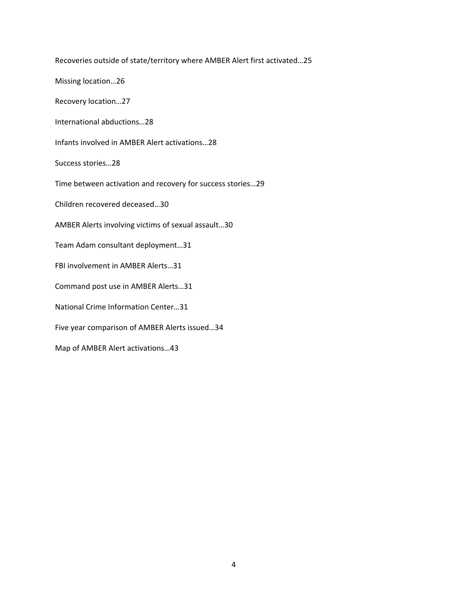Recoveries outside of state/territory where AMBER Alert first activated…25 Missing location…26 Recovery location…27 International abductions…28 Infants involved in AMBER Alert activations…28 Success stories…28 Time between activation and recovery for success stories…29 Children recovered deceased…30 AMBER Alerts involving victims of sexual assault…30 Team Adam consultant deployment…31 FBI involvement in AMBER Alerts…31 Command post use in AMBER Alerts…31 National Crime Information Center…31 Five year comparison of AMBER Alerts issued…34 Map of AMBER Alert activations…43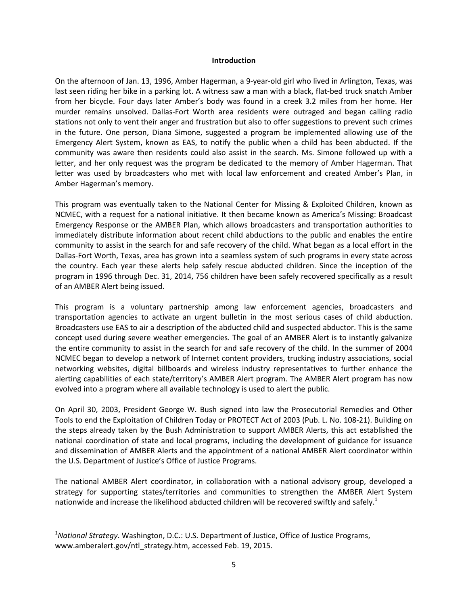#### **Introduction**

On the afternoon of Jan. 13, 1996, Amber Hagerman, a 9‐year‐old girl who lived in Arlington, Texas, was last seen riding her bike in a parking lot. A witness saw a man with a black, flat-bed truck snatch Amber from her bicycle. Four days later Amber's body was found in a creek 3.2 miles from her home. Her murder remains unsolved. Dallas‐Fort Worth area residents were outraged and began calling radio stations not only to vent their anger and frustration but also to offer suggestions to prevent such crimes in the future. One person, Diana Simone, suggested a program be implemented allowing use of the Emergency Alert System, known as EAS, to notify the public when a child has been abducted. If the community was aware then residents could also assist in the search. Ms. Simone followed up with a letter, and her only request was the program be dedicated to the memory of Amber Hagerman. That letter was used by broadcasters who met with local law enforcement and created Amber's Plan, in Amber Hagerman's memory.

This program was eventually taken to the National Center for Missing & Exploited Children, known as NCMEC, with a request for a national initiative. It then became known as America's Missing: Broadcast Emergency Response or the AMBER Plan, which allows broadcasters and transportation authorities to immediately distribute information about recent child abductions to the public and enables the entire community to assist in the search for and safe recovery of the child. What began as a local effort in the Dallas‐Fort Worth, Texas, area has grown into a seamless system of such programs in every state across the country. Each year these alerts help safely rescue abducted children. Since the inception of the program in 1996 through Dec. 31, 2014, 756 children have been safely recovered specifically as a result of an AMBER Alert being issued.

This program is a voluntary partnership among law enforcement agencies, broadcasters and transportation agencies to activate an urgent bulletin in the most serious cases of child abduction. Broadcasters use EAS to air a description of the abducted child and suspected abductor. This is the same concept used during severe weather emergencies. The goal of an AMBER Alert is to instantly galvanize the entire community to assist in the search for and safe recovery of the child. In the summer of 2004 NCMEC began to develop a network of Internet content providers, trucking industry associations, social networking websites, digital billboards and wireless industry representatives to further enhance the alerting capabilities of each state/territory's AMBER Alert program. The AMBER Alert program has now evolved into a program where all available technology is used to alert the public.

On April 30, 2003, President George W. Bush signed into law the Prosecutorial Remedies and Other Tools to end the Exploitation of Children Today or PROTECT Act of 2003 (Pub. L. No. 108‐21). Building on the steps already taken by the Bush Administration to support AMBER Alerts, this act established the national coordination of state and local programs, including the development of guidance for issuance and dissemination of AMBER Alerts and the appointment of a national AMBER Alert coordinator within the U.S. Department of Justice's Office of Justice Programs.

The national AMBER Alert coordinator, in collaboration with a national advisory group, developed a strategy for supporting states/territories and communities to strengthen the AMBER Alert System nationwide and increase the likelihood abducted children will be recovered swiftly and safely.<sup>1</sup>

<sup>1</sup> *National Strategy*. Washington, D.C.: U.S. Department of Justice, Office of Justice Programs, www.amberalert.gov/ntl\_strategy.htm, accessed Feb. 19, 2015.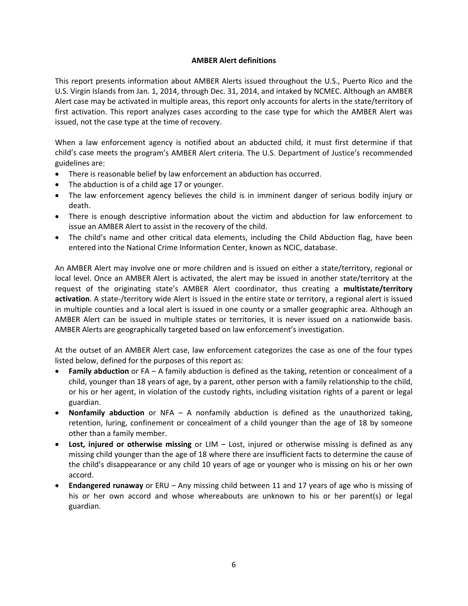# **AMBER Alert definitions**

This report presents information about AMBER Alerts issued throughout the U.S., Puerto Rico and the U.S. Virgin Islands from Jan. 1, 2014, through Dec. 31, 2014, and intaked by NCMEC. Although an AMBER Alert case may be activated in multiple areas, this report only accounts for alerts in the state/territory of first activation. This report analyzes cases according to the case type for which the AMBER Alert was issued, not the case type at the time of recovery.

When a law enforcement agency is notified about an abducted child, it must first determine if that child's case meets the program's AMBER Alert criteria. The U.S. Department of Justice's recommended guidelines are:

- There is reasonable belief by law enforcement an abduction has occurred.
- The abduction is of a child age 17 or younger.
- The law enforcement agency believes the child is in imminent danger of serious bodily injury or death.
- There is enough descriptive information about the victim and abduction for law enforcement to issue an AMBER Alert to assist in the recovery of the child.
- The child's name and other critical data elements, including the Child Abduction flag, have been entered into the National Crime Information Center, known as NCIC, database.

An AMBER Alert may involve one or more children and is issued on either a state/territory, regional or local level. Once an AMBER Alert is activated, the alert may be issued in another state/territory at the request of the originating state's AMBER Alert coordinator, thus creating a **multistate/territory activation**. A state‐/territory wide Alert is issued in the entire state or territory, a regional alert is issued in multiple counties and a local alert is issued in one county or a smaller geographic area. Although an AMBER Alert can be issued in multiple states or territories, it is never issued on a nationwide basis. AMBER Alerts are geographically targeted based on law enforcement's investigation.

At the outset of an AMBER Alert case, law enforcement categorizes the case as one of the four types listed below, defined for the purposes of this report as:

- **Family abduction** or FA A family abduction is defined as the taking, retention or concealment of a child, younger than 18 years of age, by a parent, other person with a family relationship to the child, or his or her agent, in violation of the custody rights, including visitation rights of a parent or legal guardian.
- **Nonfamily abduction** or NFA A nonfamily abduction is defined as the unauthorized taking, retention, luring, confinement or concealment of a child younger than the age of 18 by someone other than a family member.
- **Lost, injured or otherwise missing** or LIM Lost, injured or otherwise missing is defined as any missing child younger than the age of 18 where there are insufficient facts to determine the cause of the child's disappearance or any child 10 years of age or younger who is missing on his or her own accord.
- **Endangered runaway** or ERU Any missing child between 11 and 17 years of age who is missing of his or her own accord and whose whereabouts are unknown to his or her parent(s) or legal guardian.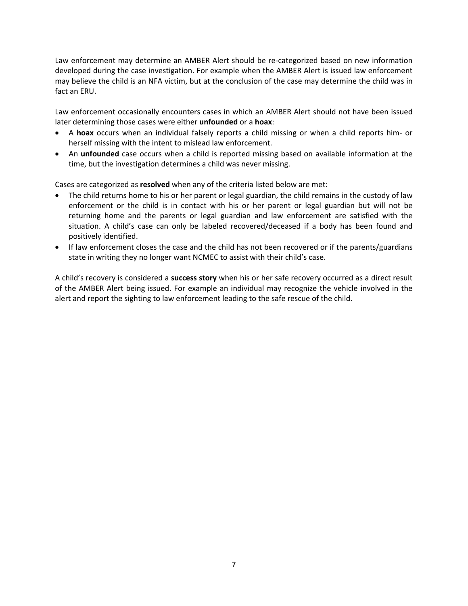Law enforcement may determine an AMBER Alert should be re‐categorized based on new information developed during the case investigation. For example when the AMBER Alert is issued law enforcement may believe the child is an NFA victim, but at the conclusion of the case may determine the child was in fact an ERU.

Law enforcement occasionally encounters cases in which an AMBER Alert should not have been issued later determining those cases were either **unfounded** or a **hoax**:

- A **hoax** occurs when an individual falsely reports a child missing or when a child reports him‐ or herself missing with the intent to mislead law enforcement.
- An **unfounded** case occurs when a child is reported missing based on available information at the time, but the investigation determines a child was never missing.

Cases are categorized as **resolved** when any of the criteria listed below are met:

- The child returns home to his or her parent or legal guardian, the child remains in the custody of law enforcement or the child is in contact with his or her parent or legal guardian but will not be returning home and the parents or legal guardian and law enforcement are satisfied with the situation. A child's case can only be labeled recovered/deceased if a body has been found and positively identified.
- If law enforcement closes the case and the child has not been recovered or if the parents/guardians state in writing they no longer want NCMEC to assist with their child's case.

A child's recovery is considered a **success story** when his or her safe recovery occurred as a direct result of the AMBER Alert being issued. For example an individual may recognize the vehicle involved in the alert and report the sighting to law enforcement leading to the safe rescue of the child.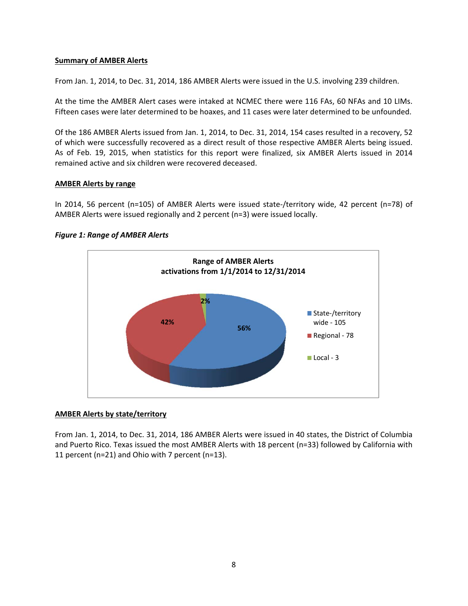# **Summary of AMBER Alerts**

From Jan. 1, 2014, to Dec. 31, 2014, 186 AMBER Alerts were issued in the U.S. involving 239 children.

At the time the AMBER Alert cases were intaked at NCMEC there were 116 FAs, 60 NFAs and 10 LIMs. Fifteen cases were later determined to be hoaxes, and 11 cases were later determined to be unfounded.

Of the 186 AMBER Alerts issued from Jan. 1, 2014, to Dec. 31, 2014, 154 cases resulted in a recovery, 52 of which were successfully recovered as a direct result of those respective AMBER Alerts being issued. As of Feb. 19, 2015, when statistics for this report were finalized, six AMBER Alerts issued in 2014 remained active and six children were recovered deceased.

# **AMBER Alerts by range**

In 2014, 56 percent (n=105) of AMBER Alerts were issued state-/territory wide, 42 percent (n=78) of AMBER Alerts were issued regionally and 2 percent (n=3) were issued locally.



## *Figure 1: Range of AMBER Alerts*

# **AMBER Alerts by state/territory**

From Jan. 1, 2014, to Dec. 31, 2014, 186 AMBER Alerts were issued in 40 states, the District of Columbia and Puerto Rico. Texas issued the most AMBER Alerts with 18 percent (n=33) followed by California with 11 percent (n=21) and Ohio with 7 percent (n=13).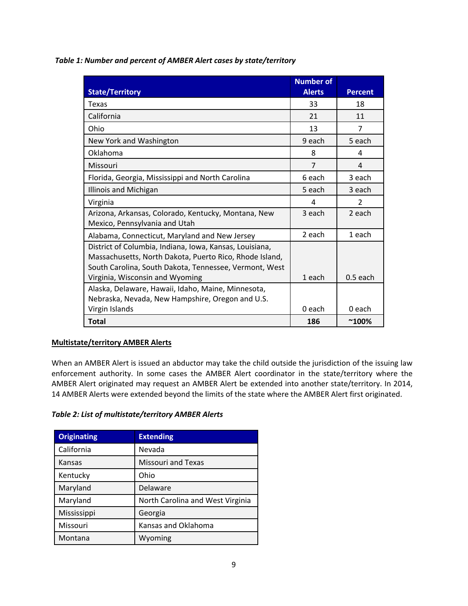*Table 1: Number and percent of AMBER Alert cases by state/territory*

|                                                         | <b>Number of</b> |                |
|---------------------------------------------------------|------------------|----------------|
| <b>State/Territory</b>                                  | <b>Alerts</b>    | <b>Percent</b> |
| Texas                                                   | 33               | 18             |
| California                                              | 21               | 11             |
| Ohio                                                    | 13               | 7              |
| New York and Washington                                 | 9 each           | 5 each         |
| Oklahoma                                                | 8                | 4              |
| Missouri                                                | 7                | 4              |
| Florida, Georgia, Mississippi and North Carolina        | 6 each           | 3 each         |
| Illinois and Michigan                                   | 5 each           | 3 each         |
| Virginia                                                | 4                | $\overline{2}$ |
| Arizona, Arkansas, Colorado, Kentucky, Montana, New     | 3 each           | 2 each         |
| Mexico, Pennsylvania and Utah                           |                  |                |
| Alabama, Connecticut, Maryland and New Jersey           | 2 each           | 1 each         |
| District of Columbia, Indiana, Iowa, Kansas, Louisiana, |                  |                |
| Massachusetts, North Dakota, Puerto Rico, Rhode Island, |                  |                |
| South Carolina, South Dakota, Tennessee, Vermont, West  |                  |                |
| Virginia, Wisconsin and Wyoming                         | 1 each           | $0.5$ each     |
| Alaska, Delaware, Hawaii, Idaho, Maine, Minnesota,      |                  |                |
| Nebraska, Nevada, New Hampshire, Oregon and U.S.        |                  |                |
| Virgin Islands                                          | 0 each           | 0 each         |
| <b>Total</b>                                            | 186              | $^{\sim}100\%$ |

# **Multistate/territory AMBER Alerts**

When an AMBER Alert is issued an abductor may take the child outside the jurisdiction of the issuing law enforcement authority. In some cases the AMBER Alert coordinator in the state/territory where the AMBER Alert originated may request an AMBER Alert be extended into another state/territory. In 2014, 14 AMBER Alerts were extended beyond the limits of the state where the AMBER Alert first originated.

# *Table 2: List of multistate/territory AMBER Alerts*

| <b>Originating</b> | <b>Extending</b>                 |
|--------------------|----------------------------------|
| California         | Nevada                           |
| Kansas             | <b>Missouri and Texas</b>        |
| Kentucky           | Ohio                             |
| Maryland           | Delaware                         |
| Maryland           | North Carolina and West Virginia |
| Mississippi        | Georgia                          |
| Missouri           | Kansas and Oklahoma              |
| Montana            | Wyoming                          |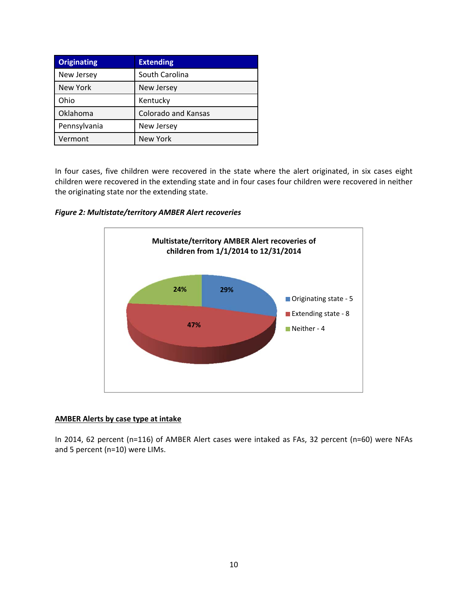| <b>Originating</b> | <b>Extending</b>           |
|--------------------|----------------------------|
| New Jersey         | South Carolina             |
| New York           | New Jersey                 |
| Ohio               | Kentucky                   |
| Oklahoma           | <b>Colorado and Kansas</b> |
| Pennsylvania       | New Jersey                 |
| Vermont            | <b>New York</b>            |

In four cases, five children were recovered in the state where the alert originated, in six cases eight children were recovered in the extending state and in four cases four children were recovered in neither the originating state nor the extending state.





# **AMBER Alerts by case type at intake**

In 2014, 62 percent (n=116) of AMBER Alert cases were intaked as FAs, 32 percent (n=60) were NFAs and 5 percent (n=10) were LIMs.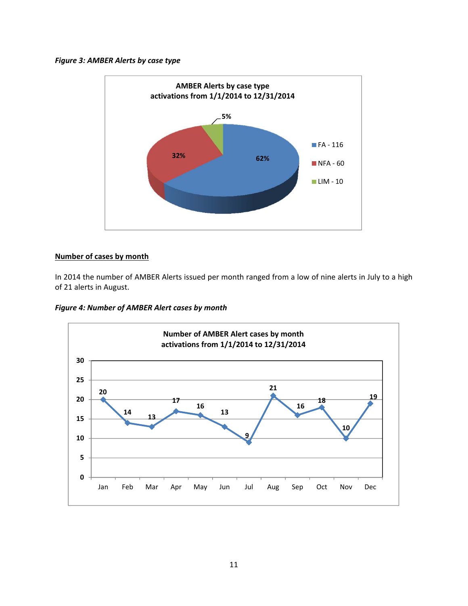## *Figure 3: AMBER Alerts by case type*



# **Number of cases by month**

In 2014 the number of AMBER Alerts issued per month ranged from a low of nine alerts in July to a high of 21 alerts in August.

*Figure 4: Number of AMBER Alert cases by month*

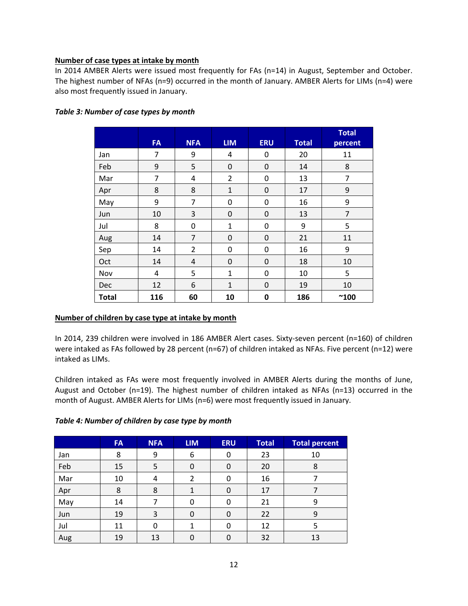# **Number of case types at intake by month**

In 2014 AMBER Alerts were issued most frequently for FAs (n=14) in August, September and October. The highest number of NFAs (n=9) occurred in the month of January. AMBER Alerts for LIMs (n=4) were also most frequently issued in January.

|              | <b>FA</b> | <b>NFA</b>     | <b>LIM</b>     | <b>ERU</b>       | <b>Total</b> | <b>Total</b><br>percent |
|--------------|-----------|----------------|----------------|------------------|--------------|-------------------------|
| Jan          | 7         | 9              | 4              | 0                | 20           | 11                      |
| Feb          | 9         | 5              | 0              | $\boldsymbol{0}$ | 14           | 8                       |
| Mar          | 7         | 4              | $\overline{2}$ | 0                | 13           | 7                       |
| Apr          | 8         | 8              | $\mathbf 1$    | 0                | 17           | 9                       |
| May          | 9         | $\overline{7}$ | $\mathbf 0$    | 0                | 16           | 9                       |
| Jun          | 10        | 3              | $\mathbf 0$    | 0                | 13           | $\overline{7}$          |
| Jul          | 8         | 0              | $\mathbf{1}$   | 0                | 9            | 5                       |
| Aug          | 14        | $\overline{7}$ | $\mathbf 0$    | $\boldsymbol{0}$ | 21           | 11                      |
| Sep          | 14        | $\overline{2}$ | 0              | 0                | 16           | 9                       |
| Oct          | 14        | 4              | $\mathbf 0$    | 0                | 18           | 10                      |
| Nov          | 4         | 5              | $\mathbf{1}$   | 0                | 10           | 5                       |
| <b>Dec</b>   | 12        | 6              | $\mathbf{1}$   | 0                | 19           | 10                      |
| <b>Total</b> | 116       | 60             | 10             | 0                | 186          | $^{\sim}$ 100           |

# *Table 3: Number of case types by month*

# **Number of children by case type at intake by month**

In 2014, 239 children were involved in 186 AMBER Alert cases. Sixty-seven percent (n=160) of children were intaked as FAs followed by 28 percent (n=67) of children intaked as NFAs. Five percent (n=12) were intaked as LIMs.

Children intaked as FAs were most frequently involved in AMBER Alerts during the months of June, August and October (n=19). The highest number of children intaked as NFAs (n=13) occurred in the month of August. AMBER Alerts for LIMs (n=6) were most frequently issued in January.

| Table 4: Number of children by case type by month |
|---------------------------------------------------|
|---------------------------------------------------|

|     | <b>FA</b> | <b>NFA</b> | <b>LIM</b> | <b>ERU</b> | <b>Total</b> | <b>Total percent</b> |
|-----|-----------|------------|------------|------------|--------------|----------------------|
| Jan | 8         | 9          | 6          | 0          | 23           | 10                   |
| Feb | 15        | 5          | 0          | 0          | 20           | 8                    |
| Mar | 10        | 4          |            | 0          | 16           |                      |
| Apr | 8         | 8          |            | 0          | 17           |                      |
| May | 14        |            | 0          | 0          | 21           | 9                    |
| Jun | 19        | 3          | 0          | 0          | 22           | 9                    |
| Jul | 11        | 0          |            | 0          | 12           | 5                    |
| Aug | 19        | 13         | 0          | 0          | 32           | 13                   |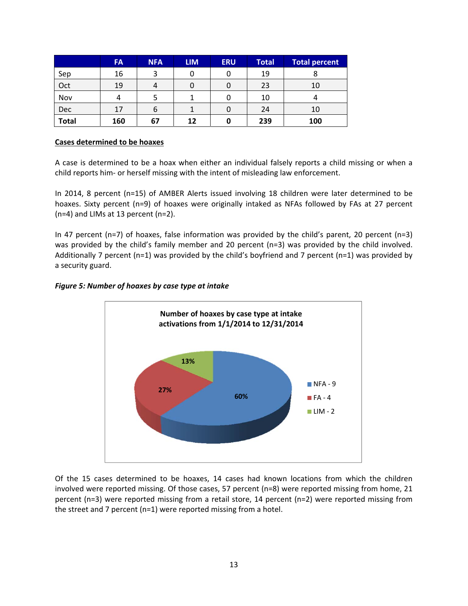|              | <b>FA</b> | <b>NFA</b> | <b>LIM</b> | <b>ERU</b> | <b>Total</b> | <b>Total percent</b> |
|--------------|-----------|------------|------------|------------|--------------|----------------------|
| Sep          | 16        | 2          |            | 0          | 19           |                      |
| Oct          | 19        |            |            |            | 23           | 10                   |
| Nov          |           |            |            |            | 10           |                      |
| <b>Dec</b>   | 17        | b          |            |            | 24           | 10                   |
| <b>Total</b> | 160       | 67         | 12         |            | 239          | 100                  |

## **Cases determined to be hoaxes**

A case is determined to be a hoax when either an individual falsely reports a child missing or when a child reports him‐ or herself missing with the intent of misleading law enforcement.

In 2014, 8 percent (n=15) of AMBER Alerts issued involving 18 children were later determined to be hoaxes. Sixty percent (n=9) of hoaxes were originally intaked as NFAs followed by FAs at 27 percent (n=4) and LIMs at 13 percent (n=2).

In 47 percent (n=7) of hoaxes, false information was provided by the child's parent, 20 percent (n=3) was provided by the child's family member and 20 percent (n=3) was provided by the child involved. Additionally 7 percent (n=1) was provided by the child's boyfriend and 7 percent (n=1) was provided by a security guard.

# *Figure 5: Number of hoaxes by case type at intake*



Of the 15 cases determined to be hoaxes, 14 cases had known locations from which the children involved were reported missing. Of those cases, 57 percent (n=8) were reported missing from home, 21 percent (n=3) were reported missing from a retail store, 14 percent (n=2) were reported missing from the street and 7 percent (n=1) were reported missing from a hotel.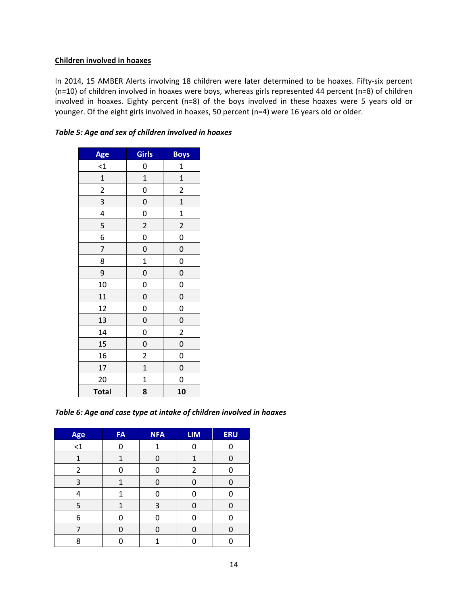## **Children involved in hoaxes**

In 2014, 15 AMBER Alerts involving 18 children were later determined to be hoaxes. Fifty‐six percent (n=10) of children involved in hoaxes were boys, whereas girls represented 44 percent (n=8) of children involved in hoaxes. Eighty percent (n=8) of the boys involved in these hoaxes were 5 years old or younger. Of the eight girls involved in hoaxes, 50 percent (n=4) were 16 years old or older.

| Age                     | <b>Girls</b>            | <b>Boys</b>             |
|-------------------------|-------------------------|-------------------------|
| $\leq$ 1                | 0                       | $\mathbf{1}$            |
| $\mathbf{1}$            | $\mathbf{1}$            | $\mathbf{1}$            |
| $\overline{\mathbf{c}}$ | 0                       | $\overline{\mathbf{c}}$ |
| 3                       | $\mathbf 0$             | $\mathbf{1}$            |
| 4                       | 0                       | $\mathbf{1}$            |
| 5                       | $\overline{c}$          | $\overline{c}$          |
| 6                       | 0                       | 0                       |
| 7                       | $\mathbf 0$             | $\mathbf 0$             |
| 8                       | $\mathbf 1$             | 0                       |
| 9                       | $\mathbf 0$             | 0                       |
| 10                      | 0                       | 0                       |
| 11                      | $\mathbf 0$             | $\mathbf 0$             |
| 12                      | 0                       | 0                       |
| 13                      | $\mathbf 0$             | $\mathbf{0}$            |
| 14                      | 0                       | $\overline{\mathbf{c}}$ |
| 15                      | $\mathbf 0$             | $\mathbf{0}$            |
| 16                      | $\overline{\mathbf{c}}$ | 0                       |
| 17                      | $\mathbf{1}$            | $\mathbf{0}$            |
| 20                      | $\mathbf 1$             | 0                       |
| <b>Total</b>            | 8                       | 10                      |

*Table 5: Age and sex of children involved in hoaxes*

*Table 6: Age and case type at intake of children involved in hoaxes*

| Age            | <b>FA</b> | <b>NFA</b> | <b>LIM</b>     | <b>ERU</b> |
|----------------|-----------|------------|----------------|------------|
| $\leq$ 1       | ŋ         | 1          | n              |            |
| $\mathbf{1}$   | 1         | ი          | $\mathbf{1}$   |            |
| $\overline{2}$ | U         | n          | $\overline{2}$ | ⋂          |
| 3              | 1         | n          | ∩              |            |
| 4              | 1         | ი          | n              |            |
| 5              | 1         | 3          | ∩              |            |
| 6              | n         |            |                |            |
| 7              | ი         | በ          | ∩              |            |
| 8              |           | 1          |                |            |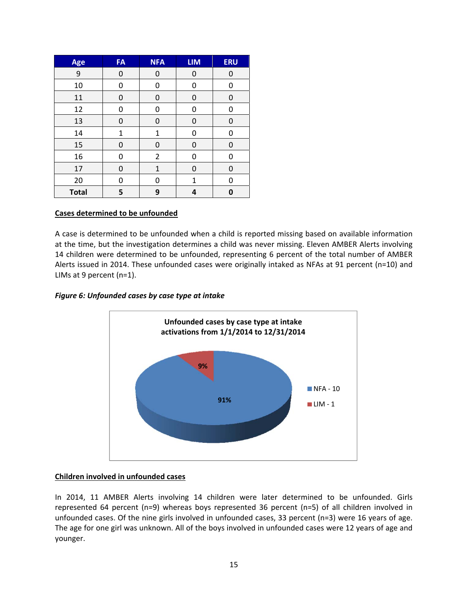| Age          | <b>FA</b>    | <b>NFA</b>     | <b>LIM</b> | <b>ERU</b> |
|--------------|--------------|----------------|------------|------------|
| 9            | 0            | 0              | 0          | 0          |
| 10           | 0            | 0              | 0          | 0          |
| 11           | 0            | 0              | 0          | 0          |
| 12           | 0            | 0              | 0          | 0          |
| 13           | 0            | 0              | 0          | 0          |
| 14           | $\mathbf{1}$ | 1              | 0          | 0          |
| 15           | 0            | 0              | 0          | 0          |
| 16           | 0            | $\overline{2}$ | 0          | 0          |
| 17           | 0            | $\mathbf{1}$   | 0          | 0          |
| 20           | 0            | 0              | 1          | 0          |
| <b>Total</b> | 5            | 9              | 4          | 0          |

# **Cases determined to be unfounded**

A case is determined to be unfounded when a child is reported missing based on available information at the time, but the investigation determines a child was never missing. Eleven AMBER Alerts involving 14 children were determined to be unfounded, representing 6 percent of the total number of AMBER Alerts issued in 2014. These unfounded cases were originally intaked as NFAs at 91 percent (n=10) and LIMs at 9 percent (n=1).

#### *Figure 6: Unfounded cases by case type at intake*



#### **Children involved in unfounded cases**

In 2014, 11 AMBER Alerts involving 14 children were later determined to be unfounded. Girls represented 64 percent (n=9) whereas boys represented 36 percent (n=5) of all children involved in unfounded cases. Of the nine girls involved in unfounded cases, 33 percent (n=3) were 16 years of age. The age for one girl was unknown. All of the boys involved in unfounded cases were 12 years of age and younger.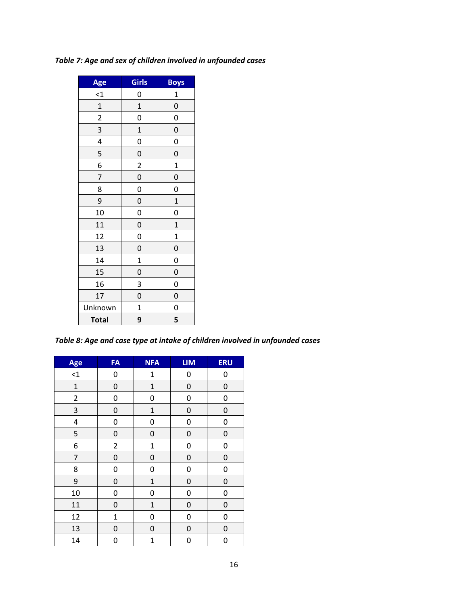# *Table 7: Age and sex of children involved in unfounded cases*

| Age                     | <b>Girls</b>            | Boys         |
|-------------------------|-------------------------|--------------|
| $\leq$ $\frac{1}{2}$    | 0                       | $\mathbf{1}$ |
| $\mathbf{1}$            | $\mathbf{1}$            | $\mathbf 0$  |
| $\overline{c}$          | 0                       | 0            |
| 3                       | $\mathbf{1}$            | $\mathbf 0$  |
| $\overline{\mathbf{r}}$ | 0                       | $\mathbf{0}$ |
| 5                       | 0                       | $\mathbf 0$  |
| 6                       | $\overline{\mathbf{c}}$ | $\mathbf 1$  |
| 7                       | 0                       | $\mathbf{0}$ |
| 8                       | 0                       | 0            |
| 9                       | 0                       | $\mathbf{1}$ |
| 10                      | 0                       | 0            |
| 11                      | 0                       | $\mathbf{1}$ |
| 12                      | 0                       | $\mathbf{1}$ |
| 13                      | 0                       | $\mathbf 0$  |
| 14                      | $\mathbf{1}$            | 0            |
| 15                      | 0                       | $\mathbf{0}$ |
| 16                      | 3                       | 0            |
| 17                      | 0                       | $\mathbf{0}$ |
| Unknown                 | $\mathbf{1}$            | 0            |
| <b>Total</b>            | 9                       | 5            |

*Table 8: Age and case type at intake of children involved in unfounded cases*

| Age            | FA             | <b>NFA</b>   | <b>LIM</b>       | <b>ERU</b>       |
|----------------|----------------|--------------|------------------|------------------|
| $\leq$ 1       | 0              | $\mathbf 1$  | 0                | 0                |
| $\mathbf{1}$   | 0              | $\mathbf 1$  | 0                | $\boldsymbol{0}$ |
| $\overline{2}$ | 0              | 0            | 0                | 0                |
| 3              | 0              | $\mathbf 1$  | $\pmb{0}$        | $\pmb{0}$        |
| 4              | 0              | 0            | 0                | 0                |
| 5              | 0              | 0            | 0                | 0                |
| 6              | $\overline{2}$ | $\mathbf 1$  | 0                | 0                |
| 7              | 0              | 0            | 0                | 0                |
| 8              | 0              | 0            | 0                | 0                |
| 9              | 0              | $\mathbf 1$  | $\boldsymbol{0}$ | $\boldsymbol{0}$ |
| 10             | 0              | 0            | 0                | 0                |
| 11             | 0              | $\mathbf{1}$ | $\boldsymbol{0}$ | $\boldsymbol{0}$ |
| 12             | $\mathbf{1}$   | 0            | 0                | 0                |
| 13             | 0              | 0            | 0                | 0                |
| 14             | 0              | $\mathbf{1}$ | 0                | 0                |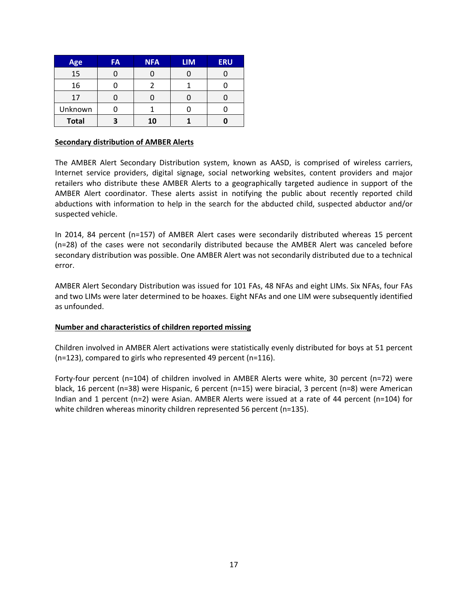| Age          | <b>FA</b> | <b>NFA</b> | <b>LIM</b> | <b>ERU</b> |
|--------------|-----------|------------|------------|------------|
| 15           |           |            |            |            |
| 16           |           |            |            |            |
| 17           |           |            |            |            |
| Unknown      |           |            |            |            |
| <b>Total</b> |           | 10         |            |            |

### **Secondary distribution of AMBER Alerts**

The AMBER Alert Secondary Distribution system, known as AASD, is comprised of wireless carriers, Internet service providers, digital signage, social networking websites, content providers and major retailers who distribute these AMBER Alerts to a geographically targeted audience in support of the AMBER Alert coordinator. These alerts assist in notifying the public about recently reported child abductions with information to help in the search for the abducted child, suspected abductor and/or suspected vehicle.

In 2014, 84 percent (n=157) of AMBER Alert cases were secondarily distributed whereas 15 percent (n=28) of the cases were not secondarily distributed because the AMBER Alert was canceled before secondary distribution was possible. One AMBER Alert was not secondarily distributed due to a technical error.

AMBER Alert Secondary Distribution was issued for 101 FAs, 48 NFAs and eight LIMs. Six NFAs, four FAs and two LIMs were later determined to be hoaxes. Eight NFAs and one LIM were subsequently identified as unfounded.

# **Number and characteristics of children reported missing**

Children involved in AMBER Alert activations were statistically evenly distributed for boys at 51 percent (n=123), compared to girls who represented 49 percent (n=116).

Forty-four percent (n=104) of children involved in AMBER Alerts were white, 30 percent (n=72) were black, 16 percent (n=38) were Hispanic, 6 percent (n=15) were biracial, 3 percent (n=8) were American Indian and 1 percent (n=2) were Asian. AMBER Alerts were issued at a rate of 44 percent (n=104) for white children whereas minority children represented 56 percent (n=135).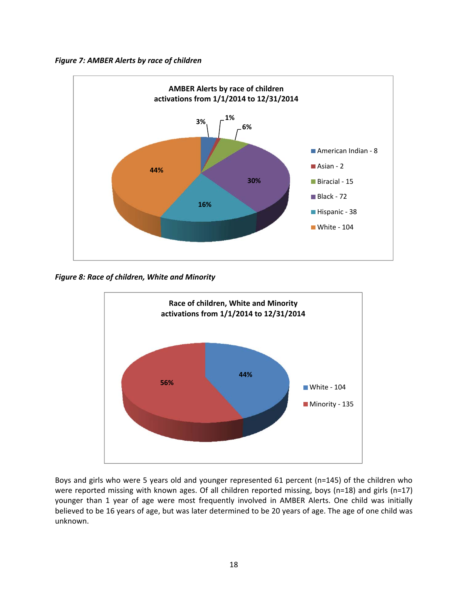



*Figure 8: Race of children, White and Minority*



Boys and girls who were 5 years old and younger represented 61 percent (n=145) of the children who were reported missing with known ages. Of all children reported missing, boys (n=18) and girls (n=17) younger than 1 year of age were most frequently involved in AMBER Alerts. One child was initially believed to be 16 years of age, but was later determined to be 20 years of age. The age of one child was unknown.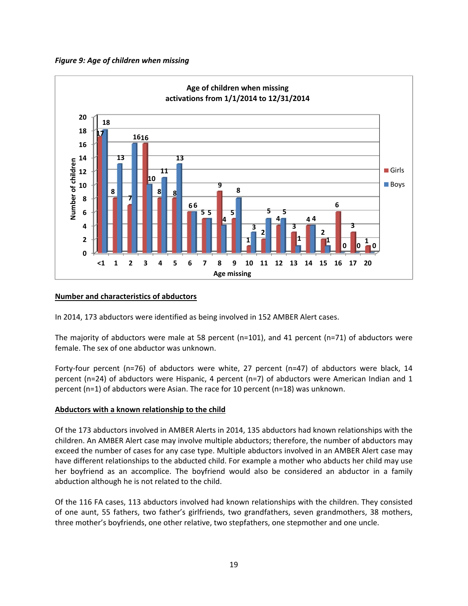



# **Number and characteristics of abductors**

In 2014, 173 abductors were identified as being involved in 152 AMBER Alert cases.

The majority of abductors were male at 58 percent (n=101), and 41 percent (n=71) of abductors were female. The sex of one abductor was unknown.

Forty-four percent (n=76) of abductors were white, 27 percent (n=47) of abductors were black, 14 percent (n=24) of abductors were Hispanic, 4 percent (n=7) of abductors were American Indian and 1 percent (n=1) of abductors were Asian. The race for 10 percent (n=18) was unknown.

# **Abductors with a known relationship to the child**

Of the 173 abductors involved in AMBER Alerts in 2014, 135 abductors had known relationships with the children. An AMBER Alert case may involve multiple abductors; therefore, the number of abductors may exceed the number of cases for any case type. Multiple abductors involved in an AMBER Alert case may have different relationships to the abducted child. For example a mother who abducts her child may use her boyfriend as an accomplice. The boyfriend would also be considered an abductor in a family abduction although he is not related to the child.

Of the 116 FA cases, 113 abductors involved had known relationships with the children. They consisted of one aunt, 55 fathers, two father's girlfriends, two grandfathers, seven grandmothers, 38 mothers, three mother's boyfriends, one other relative, two stepfathers, one stepmother and one uncle.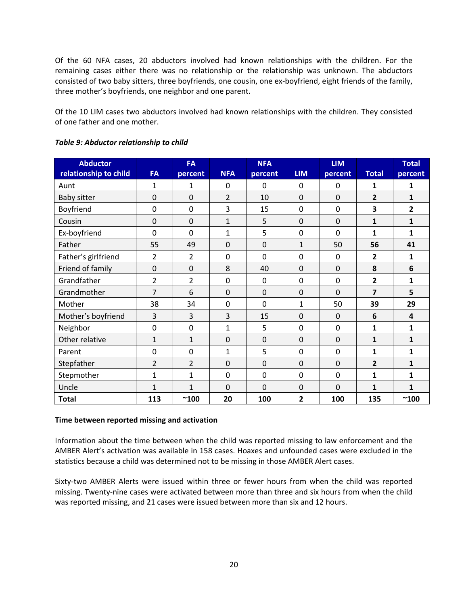Of the 60 NFA cases, 20 abductors involved had known relationships with the children. For the remaining cases either there was no relationship or the relationship was unknown. The abductors consisted of two baby sitters, three boyfriends, one cousin, one ex-boyfriend, eight friends of the family, three mother's boyfriends, one neighbor and one parent.

Of the 10 LIM cases two abductors involved had known relationships with the children. They consisted of one father and one mother.

| <b>Abductor</b><br>relationship to child | <b>FA</b>      | <b>FA</b><br>percent | <b>NFA</b>     | <b>NFA</b><br>percent | <b>LIM</b>     | <b>LIM</b><br>percent | <b>Total</b>            | <b>Total</b><br>percent |
|------------------------------------------|----------------|----------------------|----------------|-----------------------|----------------|-----------------------|-------------------------|-------------------------|
| Aunt                                     | 1              | 1                    | $\mathbf 0$    | $\mathbf 0$           | $\mathbf 0$    | 0                     | 1                       | 1                       |
| <b>Baby sitter</b>                       | 0              | $\overline{0}$       | $\overline{2}$ | 10                    | $\overline{0}$ | $\Omega$              | $\overline{2}$          | $\mathbf{1}$            |
| Boyfriend                                | 0              | $\mathbf 0$          | 3              | 15                    | $\mathbf 0$    | $\mathbf 0$           | 3                       | 2                       |
| Cousin                                   | 0              | $\mathbf 0$          | $\mathbf{1}$   | 5                     | $\mathbf 0$    | $\mathbf 0$           | 1                       | 1                       |
| Ex-boyfriend                             | 0              | $\overline{0}$       | 1              | 5                     | 0              | $\overline{0}$        | 1                       | 1                       |
| Father                                   | 55             | 49                   | $\Omega$       | 0                     | $\mathbf{1}$   | 50                    | 56                      | 41                      |
| Father's girlfriend                      | 2              | 2                    | 0              | 0                     | 0              | $\mathbf 0$           | 2                       | 1                       |
| Friend of family                         | 0              | $\mathbf 0$          | 8              | 40                    | $\mathbf 0$    | $\mathbf 0$           | 8                       | 6                       |
| Grandfather                              | 2              | 2                    | 0              | 0                     | 0              | $\mathbf 0$           | $\overline{\mathbf{2}}$ | 1                       |
| Grandmother                              | 7              | 6                    | $\mathbf 0$    | 0                     | $\mathbf 0$    | $\overline{0}$        | 7                       | 5                       |
| Mother                                   | 38             | 34                   | 0              | 0                     | 1              | 50                    | 39                      | 29                      |
| Mother's boyfriend                       | 3              | $\overline{3}$       | 3              | 15                    | $\mathbf 0$    | $\mathbf 0$           | 6                       | 4                       |
| Neighbor                                 | $\mathbf 0$    | $\mathbf 0$          | 1              | 5                     | 0              | $\mathbf 0$           | 1                       | 1                       |
| Other relative                           | 1              | 1                    | $\mathbf 0$    | 0                     | $\mathbf 0$    | $\overline{0}$        | $\mathbf{1}$            | 1                       |
| Parent                                   | 0              | $\mathbf 0$          | 1              | 5                     | 0              | $\mathbf 0$           | 1                       | 1                       |
| Stepfather                               | $\overline{2}$ | $\overline{2}$       | $\mathbf 0$    | $\mathbf 0$           | $\Omega$       | $\Omega$              | $\overline{2}$          | $\mathbf{1}$            |
| Stepmother                               | 1              | 1                    | 0              | $\mathbf 0$           | 0              | $\mathbf 0$           | $\mathbf{1}$            | 1                       |
| Uncle                                    | 1              | $\mathbf{1}$         | $\Omega$       | 0                     | $\mathbf 0$    | $\overline{0}$        | 1                       | 1                       |
| <b>Total</b>                             | 113            | $^{\sim}100$         | 20             | 100                   | 2              | 100                   | 135                     | $^{\sim}$ 100           |

# *Table 9: Abductor relationship to child*

# **Time between reported missing and activation**

Information about the time between when the child was reported missing to law enforcement and the AMBER Alert's activation was available in 158 cases. Hoaxes and unfounded cases were excluded in the statistics because a child was determined not to be missing in those AMBER Alert cases.

Sixty-two AMBER Alerts were issued within three or fewer hours from when the child was reported missing. Twenty‐nine cases were activated between more than three and six hours from when the child was reported missing, and 21 cases were issued between more than six and 12 hours.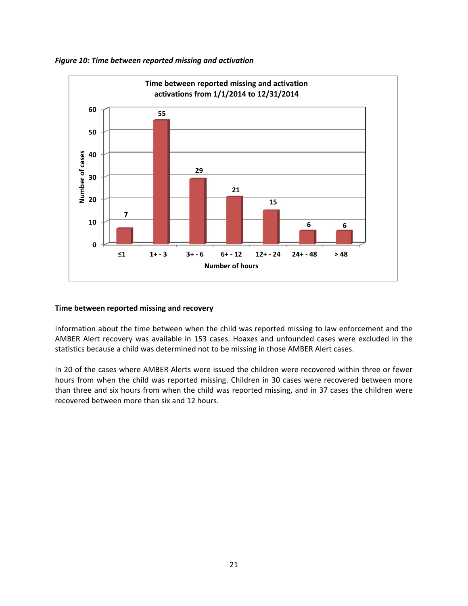



# **Time between reported missing and recovery**

Information about the time between when the child was reported missing to law enforcement and the AMBER Alert recovery was available in 153 cases. Hoaxes and unfounded cases were excluded in the statistics because a child was determined not to be missing in those AMBER Alert cases.

In 20 of the cases where AMBER Alerts were issued the children were recovered within three or fewer hours from when the child was reported missing. Children in 30 cases were recovered between more than three and six hours from when the child was reported missing, and in 37 cases the children were recovered between more than six and 12 hours.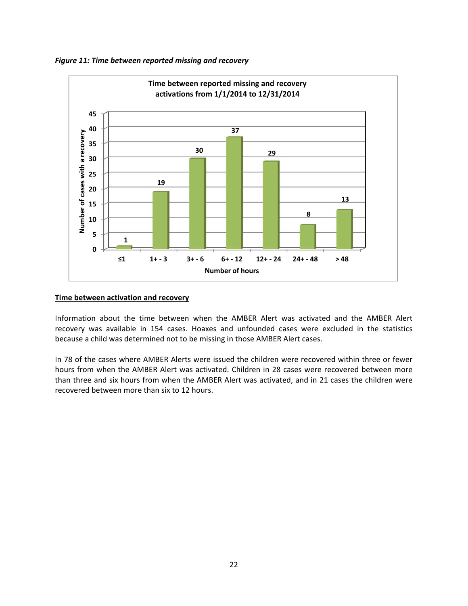



## **Time between activation and recovery**

Information about the time between when the AMBER Alert was activated and the AMBER Alert recovery was available in 154 cases. Hoaxes and unfounded cases were excluded in the statistics because a child was determined not to be missing in those AMBER Alert cases.

In 78 of the cases where AMBER Alerts were issued the children were recovered within three or fewer hours from when the AMBER Alert was activated. Children in 28 cases were recovered between more than three and six hours from when the AMBER Alert was activated, and in 21 cases the children were recovered between more than six to 12 hours.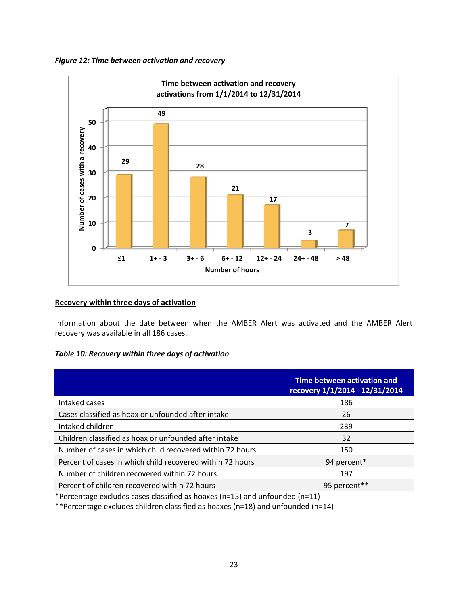



# **Recovery within three days of activation**

Information about the date between when the AMBER Alert was activated and the AMBER Alert recovery was available in all 186 cases.

# *Table 10: Recovery within three days of activation*

|                                                           | Time between activation and<br>recovery 1/1/2014 - 12/31/2014 |
|-----------------------------------------------------------|---------------------------------------------------------------|
| Intaked cases                                             | 186                                                           |
| Cases classified as hoax or unfounded after intake        | 26                                                            |
| Intaked children                                          | 239                                                           |
| Children classified as hoax or unfounded after intake     | 32                                                            |
| Number of cases in which child recovered within 72 hours  | 150                                                           |
| Percent of cases in which child recovered within 72 hours | 94 percent*                                                   |
| Number of children recovered within 72 hours              | 197                                                           |
| Percent of children recovered within 72 hours             | 95 percent**                                                  |

\*Percentage excludes cases classified as hoaxes (n=15) and unfounded (n=11)

\*\*Percentage excludes children classified as hoaxes (n=18) and unfounded (n=14)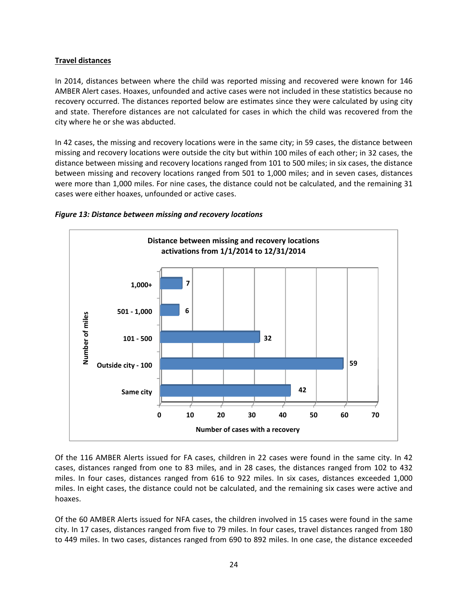# **Travel distances**

In 2014, distances between where the child was reported missing and recovered were known for 146 AMBER Alert cases. Hoaxes, unfounded and active cases were not included in these statistics because no recovery occurred. The distances reported below are estimates since they were calculated by using city and state. Therefore distances are not calculated for cases in which the child was recovered from the city where he or she was abducted.

In 42 cases, the missing and recovery locations were in the same city; in 59 cases, the distance between missing and recovery locations were outside the city but within 100 miles of each other; in 32 cases, the distance between missing and recovery locations ranged from 101 to 500 miles; in six cases, the distance between missing and recovery locations ranged from 501 to 1,000 miles; and in seven cases, distances were more than 1,000 miles. For nine cases, the distance could not be calculated, and the remaining 31 cases were either hoaxes, unfounded or active cases.



#### *Figure 13: Distance between missing and recovery locations*

Of the 116 AMBER Alerts issued for FA cases, children in 22 cases were found in the same city. In 42 cases, distances ranged from one to 83 miles, and in 28 cases, the distances ranged from 102 to 432 miles. In four cases, distances ranged from 616 to 922 miles. In six cases, distances exceeded 1,000 miles. In eight cases, the distance could not be calculated, and the remaining six cases were active and hoaxes.

Of the 60 AMBER Alerts issued for NFA cases, the children involved in 15 cases were found in the same city. In 17 cases, distances ranged from five to 79 miles. In four cases, travel distances ranged from 180 to 449 miles. In two cases, distances ranged from 690 to 892 miles. In one case, the distance exceeded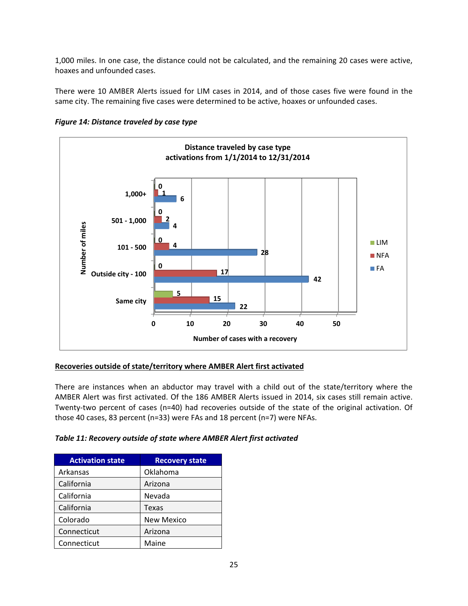1,000 miles. In one case, the distance could not be calculated, and the remaining 20 cases were active, hoaxes and unfounded cases.

There were 10 AMBER Alerts issued for LIM cases in 2014, and of those cases five were found in the same city. The remaining five cases were determined to be active, hoaxes or unfounded cases.



*Figure 14: Distance traveled by case type*

# **Recoveries outside of state/territory where AMBER Alert first activated**

There are instances when an abductor may travel with a child out of the state/territory where the AMBER Alert was first activated. Of the 186 AMBER Alerts issued in 2014, six cases still remain active. Twenty-two percent of cases (n=40) had recoveries outside of the state of the original activation. Of those 40 cases, 83 percent (n=33) were FAs and 18 percent (n=7) were NFAs.

| Table 11: Recovery outside of state where AMBER Alert first activated |
|-----------------------------------------------------------------------|
|-----------------------------------------------------------------------|

| <b>Activation state</b> | <b>Recovery state</b> |
|-------------------------|-----------------------|
| Arkansas                | Oklahoma              |
| California              | Arizona               |
| California              | Nevada                |
| California              | Texas                 |
| Colorado                | <b>New Mexico</b>     |
| Connecticut             | Arizona               |
| Connecticut             | Maine                 |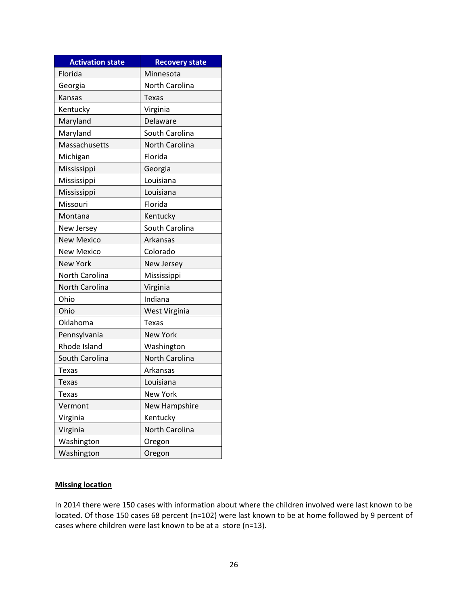| <b>Activation state</b> | <b>Recovery state</b> |
|-------------------------|-----------------------|
| Florida                 | Minnesota             |
| Georgia                 | North Carolina        |
| Kansas                  | <b>Texas</b>          |
| Kentucky                | Virginia              |
| Maryland                | Delaware              |
| Maryland                | South Carolina        |
| Massachusetts           | North Carolina        |
| Michigan                | Florida               |
| Mississippi             | Georgia               |
| Mississippi             | Louisiana             |
| Mississippi             | Louisiana             |
| Missouri                | Florida               |
| Montana                 | Kentucky              |
| New Jersey              | South Carolina        |
| <b>New Mexico</b>       | Arkansas              |
| <b>New Mexico</b>       | Colorado              |
| <b>New York</b>         | New Jersey            |
| North Carolina          | Mississippi           |
| North Carolina          | Virginia              |
| Ohio                    | Indiana               |
| Ohio                    | West Virginia         |
| Oklahoma                | Texas                 |
| Pennsylvania            | <b>New York</b>       |
| Rhode Island            | Washington            |
| South Carolina          | <b>North Carolina</b> |
| <b>Texas</b>            | Arkansas              |
| <b>Texas</b>            | Louisiana             |
| Texas                   | <b>New York</b>       |
| Vermont                 | <b>New Hampshire</b>  |
| Virginia                | Kentucky              |
| Virginia                | North Carolina        |
| Washington              | Oregon                |
| Washington              | Oregon                |

# **Missing location**

In 2014 there were 150 cases with information about where the children involved were last known to be located. Of those 150 cases 68 percent (n=102) were last known to be at home followed by 9 percent of cases where children were last known to be at a store (n=13).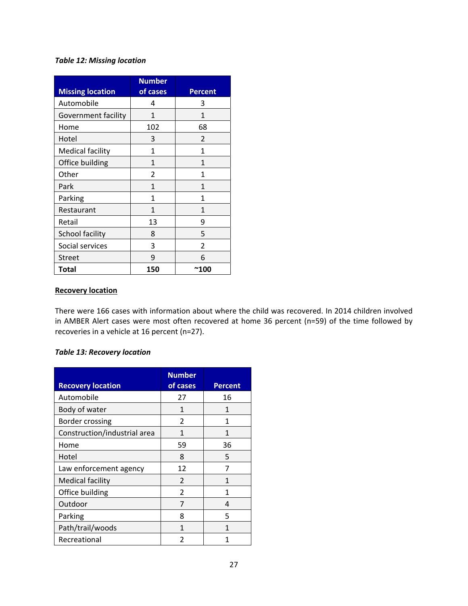# *Table 12: Missing location*

| <b>Missing location</b> | <b>Number</b><br>of cases | <b>Percent</b> |
|-------------------------|---------------------------|----------------|
| Automobile              | 4                         | 3              |
| Government facility     | 1                         | 1              |
| Home                    | 102                       | 68             |
| Hotel                   | 3                         | 2              |
| <b>Medical facility</b> | 1                         | 1              |
| Office building         | 1                         | 1              |
| Other                   | 2                         | 1              |
| Park                    | 1                         | 1              |
| Parking                 | 1                         | 1              |
| Restaurant              | 1                         | 1              |
| Retail                  | 13                        | ٩              |
| School facility         | 8                         | 5              |
| Social services         | 3                         | $\overline{2}$ |
| <b>Street</b>           | 9                         | 6              |
| Total                   | 150                       | ~100           |

# **Recovery location**

There were 166 cases with information about where the child was recovered. In 2014 children involved in AMBER Alert cases were most often recovered at home 36 percent (n=59) of the time followed by recoveries in a vehicle at 16 percent (n=27).

# *Table 13: Recovery location*

| <b>Recovery location</b>     | <b>Number</b><br>of cases | <b>Percent</b> |
|------------------------------|---------------------------|----------------|
| Automobile                   | 27                        | 16             |
| Body of water                | 1                         | 1              |
| Border crossing              | 2                         | 1              |
| Construction/industrial area | 1                         | 1              |
| Home                         | 59                        | 36             |
| Hotel                        | 8                         | 5              |
| Law enforcement agency       | 12                        | 7              |
| <b>Medical facility</b>      | $\overline{2}$            | 1              |
| Office building              | $\mathfrak{p}$            | 1              |
| Outdoor                      | 7                         | 4              |
| Parking                      | 8                         | 5              |
| Path/trail/woods             | 1                         | 1              |
| Recreational                 | 2                         | 1              |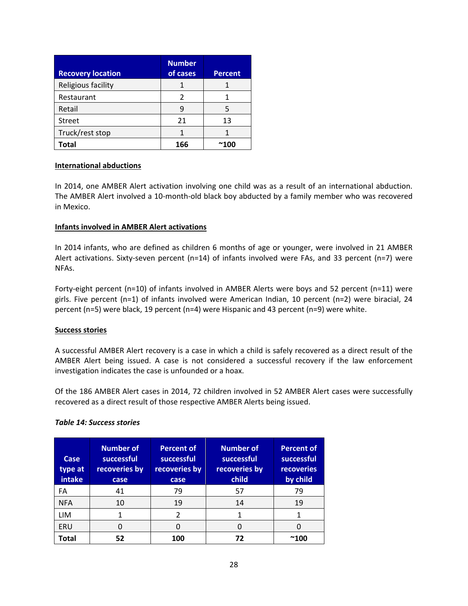| <b>Recovery location</b> | <b>Number</b><br>of cases | <b>Percent</b> |
|--------------------------|---------------------------|----------------|
| Religious facility       |                           |                |
| Restaurant               | 2                         |                |
| Retail                   | q                         |                |
| <b>Street</b>            | 21                        | 13             |
| Truck/rest stop          |                           |                |
| Total                    | 166                       |                |

# **International abductions**

In 2014, one AMBER Alert activation involving one child was as a result of an international abduction. The AMBER Alert involved a 10‐month‐old black boy abducted by a family member who was recovered in Mexico.

## **Infants involved in AMBER Alert activations**

In 2014 infants, who are defined as children 6 months of age or younger, were involved in 21 AMBER Alert activations. Sixty-seven percent (n=14) of infants involved were FAs, and 33 percent (n=7) were NFAs.

Forty-eight percent (n=10) of infants involved in AMBER Alerts were boys and 52 percent (n=11) were girls. Five percent (n=1) of infants involved were American Indian, 10 percent (n=2) were biracial, 24 percent (n=5) were black, 19 percent (n=4) were Hispanic and 43 percent (n=9) were white.

#### **Success stories**

A successful AMBER Alert recovery is a case in which a child is safely recovered as a direct result of the AMBER Alert being issued. A case is not considered a successful recovery if the law enforcement investigation indicates the case is unfounded or a hoax.

Of the 186 AMBER Alert cases in 2014, 72 children involved in 52 AMBER Alert cases were successfully recovered as a direct result of those respective AMBER Alerts being issued.

#### *Table 14: Success stories*

| Case<br>type at<br>intake | <b>Number of</b><br>successful<br>recoveries by<br>case | <b>Percent of</b><br>successful<br>recoveries by<br>case | <b>Number of</b><br>successful<br>recoveries by<br>child | <b>Percent of</b><br>successful<br>recoveries<br>by child |
|---------------------------|---------------------------------------------------------|----------------------------------------------------------|----------------------------------------------------------|-----------------------------------------------------------|
| FA                        | 41                                                      | 79                                                       | 57                                                       | 79                                                        |
| <b>NFA</b>                | 10                                                      | 19                                                       | 14                                                       | 19                                                        |
| LIM                       |                                                         | $\overline{2}$                                           | 1                                                        |                                                           |
| ERU                       | ი                                                       | 0                                                        | O                                                        |                                                           |
| Total                     | 52                                                      | 100                                                      | 72                                                       | $^{\thicksim}100$                                         |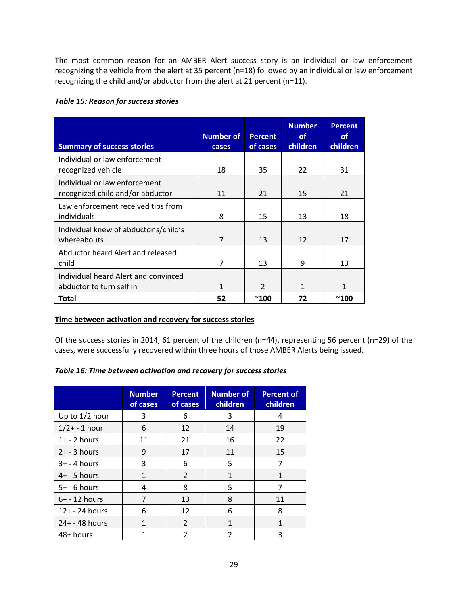The most common reason for an AMBER Alert success story is an individual or law enforcement recognizing the vehicle from the alert at 35 percent (n=18) followed by an individual or law enforcement recognizing the child and/or abductor from the alert at 21 percent (n=11).

# *Table 15: Reason for success stories*

| <b>Summary of success stories</b>                                 | <b>Number of</b><br><b>cases</b> | <b>Percent</b><br>of cases | <b>Number</b><br><b>of</b><br>children | <b>Percent</b><br><b>of</b><br>children |
|-------------------------------------------------------------------|----------------------------------|----------------------------|----------------------------------------|-----------------------------------------|
| Individual or law enforcement<br>recognized vehicle               | 18                               | 35                         | 22                                     | 31                                      |
| Individual or law enforcement<br>recognized child and/or abductor | 11                               | 21                         | 15                                     | 21                                      |
| Law enforcement received tips from<br>individuals                 | 8                                | 15                         | 13                                     | 18                                      |
| Individual knew of abductor's/child's<br>whereabouts              | $\overline{7}$                   | 13                         | 12                                     | 17                                      |
| Abductor heard Alert and released<br>child                        | 7                                | 13                         | 9                                      | 13                                      |
| Individual heard Alert and convinced<br>abductor to turn self in  | 1                                | $\mathfrak{p}$             | 1                                      | 1                                       |
| <b>Total</b>                                                      | 52                               | $^{\thicksim}100$          | 72                                     | $^{\thicksim}100$                       |

# **Time between activation and recovery for success stories**

Of the success stories in 2014, 61 percent of the children (n=44), representing 56 percent (n=29) of the cases, were successfully recovered within three hours of those AMBER Alerts being issued.

# *Table 16: Time between activation and recovery for success stories*

|                   | <b>Number</b><br>of cases | <b>Percent</b><br>of cases | <b>Number of</b><br>children | <b>Percent of</b><br>children |
|-------------------|---------------------------|----------------------------|------------------------------|-------------------------------|
| Up to 1/2 hour    | 3                         | 6                          | 3                            | 4                             |
| $1/2 + - 1$ hour  | 6                         | 12                         | 14                           | 19                            |
| $1+ - 2$ hours    | 11                        | 21                         | 16                           | 22                            |
| $2+ - 3$ hours    | 9                         | 17                         | 11                           | 15                            |
| $3+ - 4$ hours    | 3                         | 6                          | 5                            |                               |
| $4+ - 5$ hours    | 1                         | $\overline{2}$             | 1                            | 1                             |
| $5+ - 6$ hours    | 4                         | 8                          | 5                            |                               |
| $6+ - 12$ hours   | 7                         | 13                         | 8                            | 11                            |
| $12 + - 24$ hours | 6                         | 12                         | 6                            | 8                             |
| $24 + - 48$ hours | 1                         | $\overline{2}$             | 1                            | 1                             |
| 48+ hours         | 1                         | 2                          | 2                            | ς                             |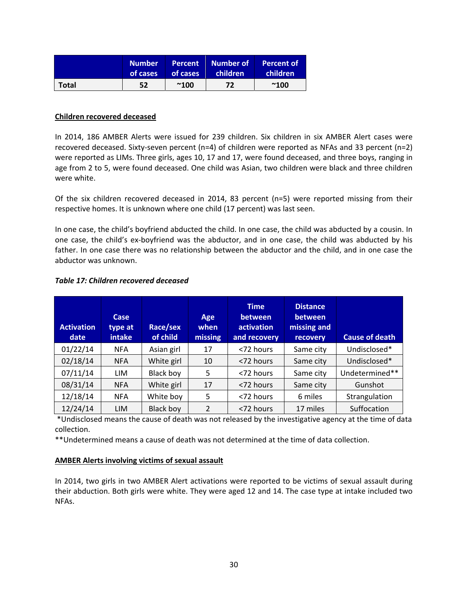|       | <b>Number</b> | <b>Percent</b> | Number of | Percent of   |
|-------|---------------|----------------|-----------|--------------|
|       | of cases      | of cases       | children' | children'    |
| Total | 52            | $^{\sim}100$   | 72        | $^{\sim}100$ |

### **Children recovered deceased**

In 2014, 186 AMBER Alerts were issued for 239 children. Six children in six AMBER Alert cases were recovered deceased. Sixty‐seven percent (n=4) of children were reported as NFAs and 33 percent (n=2) were reported as LIMs. Three girls, ages 10, 17 and 17, were found deceased, and three boys, ranging in age from 2 to 5, were found deceased. One child was Asian, two children were black and three children were white.

Of the six children recovered deceased in 2014, 83 percent (n=5) were reported missing from their respective homes. It is unknown where one child (17 percent) was last seen.

In one case, the child's boyfriend abducted the child. In one case, the child was abducted by a cousin. In one case, the child's ex‐boyfriend was the abductor, and in one case, the child was abducted by his father. In one case there was no relationship between the abductor and the child, and in one case the abductor was unknown.

| <b>Activation</b><br>date | Case<br>type at<br>intake | Race/sex<br>of child | Age<br>when<br>missing | <b>Time</b><br>between<br>activation<br>and recovery | <b>Distance</b><br>between<br>missing and<br><b>recovery</b> | <b>Cause of death</b> |
|---------------------------|---------------------------|----------------------|------------------------|------------------------------------------------------|--------------------------------------------------------------|-----------------------|
| 01/22/14                  | <b>NFA</b>                | Asian girl           | 17                     | <72 hours                                            | Same city                                                    | Undisclosed*          |
| 02/18/14                  | <b>NFA</b>                | White girl           | 10                     | <72 hours                                            | Same city                                                    | Undisclosed*          |
| 07/11/14                  | LIM                       | <b>Black boy</b>     | 5                      | <72 hours                                            | Same city                                                    | Undetermined**        |
| 08/31/14                  | <b>NFA</b>                | White girl           | 17                     | <72 hours                                            | Same city                                                    | Gunshot               |
| 12/18/14                  | <b>NFA</b>                | White boy            | 5                      | <72 hours                                            | 6 miles                                                      | Strangulation         |
| 12/24/14                  | <b>LIM</b>                | <b>Black boy</b>     | $\overline{2}$         | <72 hours                                            | 17 miles                                                     | Suffocation           |

# *Table 17: Children recovered deceased*

\*Undisclosed means the cause of death was not released by the investigative agency at the time of data collection.

\*\*Undetermined means a cause of death was not determined at the time of data collection.

# **AMBER Alerts involving victims of sexual assault**

In 2014, two girls in two AMBER Alert activations were reported to be victims of sexual assault during their abduction. Both girls were white. They were aged 12 and 14. The case type at intake included two NFAs.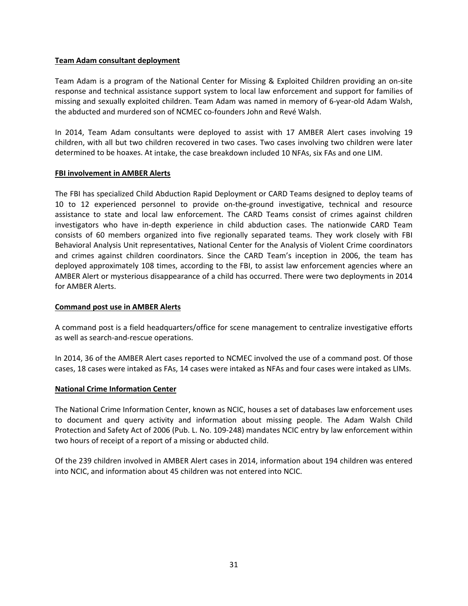## **Team Adam consultant deployment**

Team Adam is a program of the National Center for Missing & Exploited Children providing an on‐site response and technical assistance support system to local law enforcement and support for families of missing and sexually exploited children. Team Adam was named in memory of 6‐year‐old Adam Walsh, the abducted and murdered son of NCMEC co-founders John and Revé Walsh.

In 2014, Team Adam consultants were deployed to assist with 17 AMBER Alert cases involving 19 children, with all but two children recovered in two cases. Two cases involving two children were later determined to be hoaxes. At intake, the case breakdown included 10 NFAs, six FAs and one LIM.

# **FBI involvement in AMBER Alerts**

The FBI has specialized Child Abduction Rapid Deployment or CARD Teams designed to deploy teams of 10 to 12 experienced personnel to provide on-the-ground investigative, technical and resource assistance to state and local law enforcement. The CARD Teams consist of crimes against children investigators who have in‐depth experience in child abduction cases. The nationwide CARD Team consists of 60 members organized into five regionally separated teams. They work closely with FBI Behavioral Analysis Unit representatives, National Center for the Analysis of Violent Crime coordinators and crimes against children coordinators. Since the CARD Team's inception in 2006, the team has deployed approximately 108 times, according to the FBI, to assist law enforcement agencies where an AMBER Alert or mysterious disappearance of a child has occurred. There were two deployments in 2014 for AMBER Alerts.

### **Command post use in AMBER Alerts**

A command post is a field headquarters/office for scene management to centralize investigative efforts as well as search‐and‐rescue operations.

In 2014, 36 of the AMBER Alert cases reported to NCMEC involved the use of a command post. Of those cases, 18 cases were intaked as FAs, 14 cases were intaked as NFAs and four cases were intaked as LIMs.

#### **National Crime Information Center**

The National Crime Information Center, known as NCIC, houses a set of databases law enforcement uses to document and query activity and information about missing people. The Adam Walsh Child Protection and Safety Act of 2006 (Pub. L. No. 109‐248) mandates NCIC entry by law enforcement within two hours of receipt of a report of a missing or abducted child.

Of the 239 children involved in AMBER Alert cases in 2014, information about 194 children was entered into NCIC, and information about 45 children was not entered into NCIC.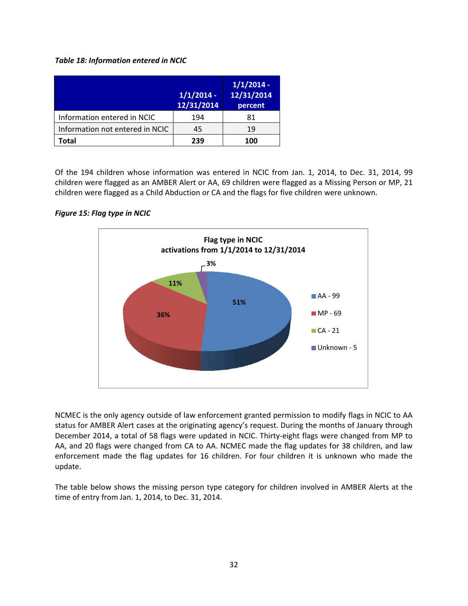# *Table 18: Information entered in NCIC*

|                                 | $1/1/2014$ -<br>12/31/2014 | $1/1/2014$ -<br>12/31/2014<br>percent |
|---------------------------------|----------------------------|---------------------------------------|
| Information entered in NCIC     | 194                        | 81                                    |
| Information not entered in NCIC | 45                         | 19                                    |
| Total                           | 239                        | 100                                   |

Of the 194 children whose information was entered in NCIC from Jan. 1, 2014, to Dec. 31, 2014, 99 children were flagged as an AMBER Alert or AA, 69 children were flagged as a Missing Person or MP, 21 children were flagged as a Child Abduction or CA and the flags for five children were unknown.

# *Figure 15: Flag type in NCIC*



NCMEC is the only agency outside of law enforcement granted permission to modify flags in NCIC to AA status for AMBER Alert cases at the originating agency's request. During the months of January through December 2014, a total of 58 flags were updated in NCIC. Thirty-eight flags were changed from MP to AA, and 20 flags were changed from CA to AA. NCMEC made the flag updates for 38 children, and law enforcement made the flag updates for 16 children. For four children it is unknown who made the update.

The table below shows the missing person type category for children involved in AMBER Alerts at the time of entry from Jan. 1, 2014, to Dec. 31, 2014.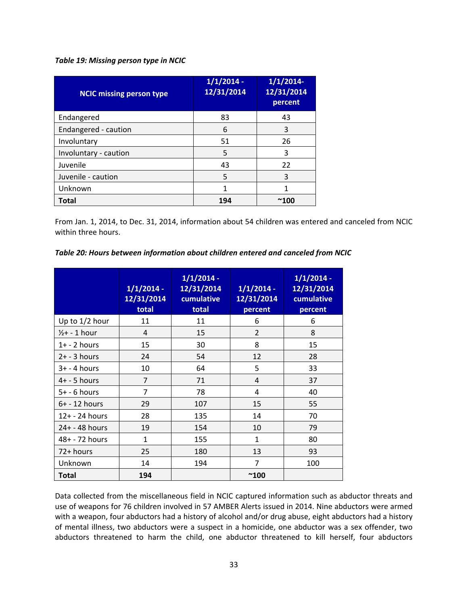## *Table 19: Missing person type in NCIC*

| <b>NCIC missing person type</b> | $1/1/2014$ -<br>12/31/2014 | 1/1/2014<br>12/31/2014<br>percent |
|---------------------------------|----------------------------|-----------------------------------|
| Endangered                      | 83                         | 43                                |
| Endangered - caution            | 6                          | 3                                 |
| Involuntary                     | 51                         | 26                                |
| Involuntary - caution           | 5                          | 3                                 |
| Juvenile                        | 43                         | 22                                |
| Juvenile - caution              | 5                          | 3                                 |
| Unknown                         | 1                          |                                   |
| <b>Total</b>                    | 194                        | $^{\thicksim}100$                 |

From Jan. 1, 2014, to Dec. 31, 2014, information about 54 children was entered and canceled from NCIC within three hours.

|  |  |  | Table 20: Hours between information about children entered and canceled from NCIC |
|--|--|--|-----------------------------------------------------------------------------------|
|--|--|--|-----------------------------------------------------------------------------------|

|                  | $1/1/2014$ -<br>12/31/2014<br>total | $1/1/2014$ -<br>12/31/2014<br>cumulative<br>total | $1/1/2014$ -<br>12/31/2014<br>percent | $1/1/2014$ -<br>12/31/2014<br>cumulative<br>percent |
|------------------|-------------------------------------|---------------------------------------------------|---------------------------------------|-----------------------------------------------------|
| Up to 1/2 hour   | 11                                  | 11                                                | 6                                     | 6                                                   |
| $1/2$ + - 1 hour | 4                                   | 15                                                | $\overline{2}$                        | 8                                                   |
| $1+ - 2$ hours   | 15                                  | 30                                                | 8                                     | 15                                                  |
| $2+ - 3$ hours   | 24                                  | 54                                                | 12                                    | 28                                                  |
| $3+ - 4$ hours   | 10                                  | 64                                                | 5                                     | 33                                                  |
| $4+ - 5$ hours   | $\overline{7}$                      | 71                                                | 4                                     | 37                                                  |
| $5+ - 6$ hours   | $\overline{7}$                      | 78                                                | 4                                     | 40                                                  |
| $6+ - 12$ hours  | 29                                  | 107                                               | 15                                    | 55                                                  |
| 12+ - 24 hours   | 28                                  | 135                                               | 14                                    | 70                                                  |
| 24+ - 48 hours   | 19                                  | 154                                               | 10                                    | 79                                                  |
| 48+ - 72 hours   | $\mathbf{1}$                        | 155                                               | $\mathbf{1}$                          | 80                                                  |
| 72+ hours        | 25                                  | 180                                               | 13                                    | 93                                                  |
| Unknown          | 14                                  | 194                                               | 7                                     | 100                                                 |
| Total            | 194                                 |                                                   | $^{\sim}100$                          |                                                     |

Data collected from the miscellaneous field in NCIC captured information such as abductor threats and use of weapons for 76 children involved in 57 AMBER Alerts issued in 2014. Nine abductors were armed with a weapon, four abductors had a history of alcohol and/or drug abuse, eight abductors had a history of mental illness, two abductors were a suspect in a homicide, one abductor was a sex offender, two abductors threatened to harm the child, one abductor threatened to kill herself, four abductors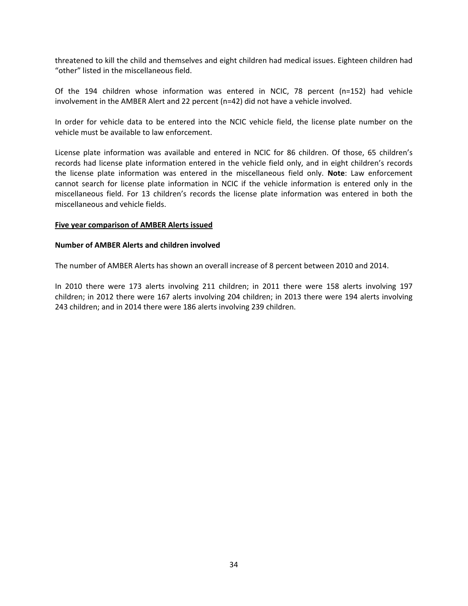threatened to kill the child and themselves and eight children had medical issues. Eighteen children had "other" listed in the miscellaneous field.

Of the 194 children whose information was entered in NCIC, 78 percent (n=152) had vehicle involvement in the AMBER Alert and 22 percent (n=42) did not have a vehicle involved.

In order for vehicle data to be entered into the NCIC vehicle field, the license plate number on the vehicle must be available to law enforcement.

License plate information was available and entered in NCIC for 86 children. Of those, 65 children's records had license plate information entered in the vehicle field only, and in eight children's records the license plate information was entered in the miscellaneous field only. **Note**: Law enforcement cannot search for license plate information in NCIC if the vehicle information is entered only in the miscellaneous field. For 13 children's records the license plate information was entered in both the miscellaneous and vehicle fields.

#### **Five year comparison of AMBER Alerts issued**

# **Number of AMBER Alerts and children involved**

The number of AMBER Alerts has shown an overall increase of 8 percent between 2010 and 2014.

In 2010 there were 173 alerts involving 211 children; in 2011 there were 158 alerts involving 197 children; in 2012 there were 167 alerts involving 204 children; in 2013 there were 194 alerts involving 243 children; and in 2014 there were 186 alerts involving 239 children.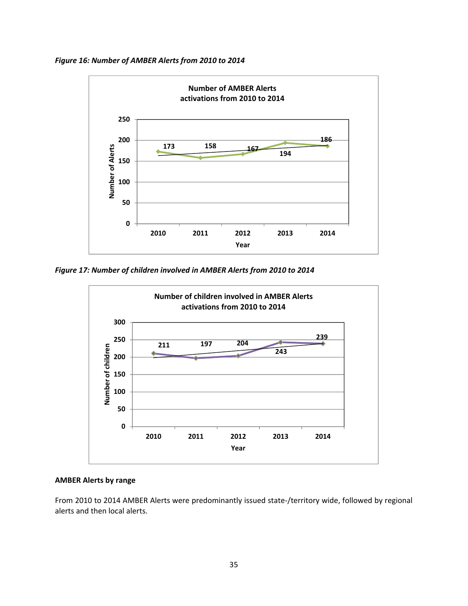*Figure 16: Number of AMBER Alerts from 2010 to 2014*



*Figure 17: Number of children involved in AMBER Alerts from 2010 to 2014*



## **AMBER Alerts by range**

From 2010 to 2014 AMBER Alerts were predominantly issued state‐/territory wide, followed by regional alerts and then local alerts.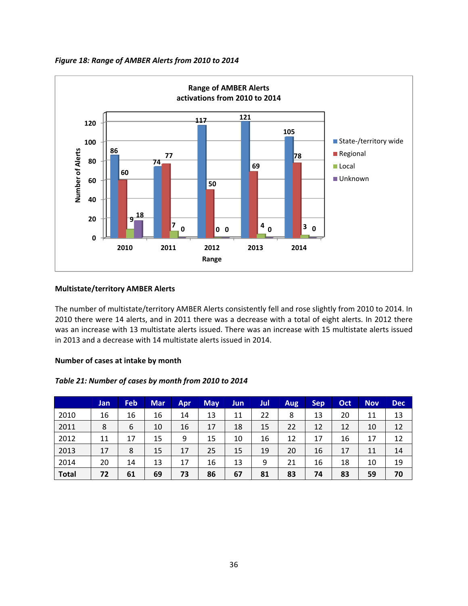



# **Multistate/territory AMBER Alerts**

The number of multistate/territory AMBER Alerts consistently fell and rose slightly from 2010 to 2014. In 2010 there were 14 alerts, and in 2011 there was a decrease with a total of eight alerts. In 2012 there was an increase with 13 multistate alerts issued. There was an increase with 15 multistate alerts issued in 2013 and a decrease with 14 multistate alerts issued in 2014.

### **Number of cases at intake by month**

## *Table 21: Number of cases by month from 2010 to 2014*

|              | Jan | <b>Feb</b> | <b>Mar</b> | <b>Apr</b> | <b>May</b> | Jun | Jul | <b>Aug</b> | <b>Sep</b> | Oct | <b>Nov</b> | <b>Dec</b> |
|--------------|-----|------------|------------|------------|------------|-----|-----|------------|------------|-----|------------|------------|
| 2010         | 16  | 16         | 16         | 14         | 13         | 11  | 22  | 8          | 13         | 20  | 11         | 13         |
| 2011         | 8   | 6          | 10         | 16         | 17         | 18  | 15  | 22         | 12         | 12  | 10         | 12         |
| 2012         | 11  | 17         | 15         | 9          | 15         | 10  | 16  | 12         | 17         | 16  | 17         | 12         |
| 2013         | 17  | 8          | 15         | 17         | 25         | 15  | 19  | 20         | 16         | 17  | 11         | 14         |
| 2014         | 20  | 14         | 13         | 17         | 16         | 13  | 9   | 21         | 16         | 18  | 10         | 19         |
| <b>Total</b> | 72  | 61         | 69         | 73         | 86         | 67  | 81  | 83         | 74         | 83  | 59         | 70         |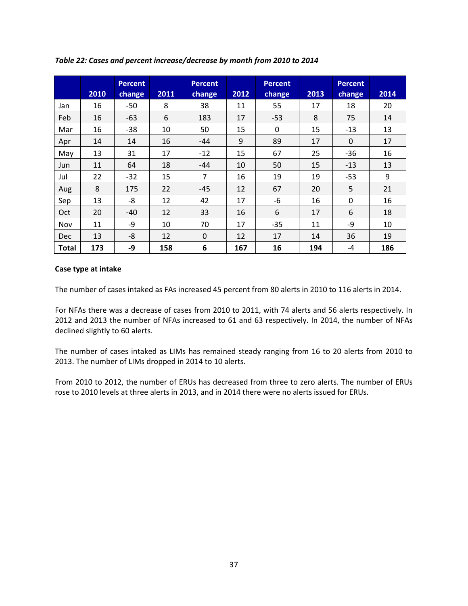|              | 2010 | <b>Percent</b><br>change | 2011 | <b>Percent</b><br>change | 2012 | <b>Percent</b><br>change | 2013 | <b>Percent</b><br>change | 2014 |
|--------------|------|--------------------------|------|--------------------------|------|--------------------------|------|--------------------------|------|
| Jan          | 16   | $-50$                    | 8    | 38                       | 11   | 55                       | 17   | 18                       | 20   |
| Feb          | 16   | $-63$                    | 6    | 183                      | 17   | $-53$                    | 8    | 75                       | 14   |
| Mar          | 16   | $-38$                    | 10   | 50                       | 15   | $\Omega$                 | 15   | $-13$                    | 13   |
| Apr          | 14   | 14                       | 16   | $-44$                    | 9    | 89                       | 17   | $\Omega$                 | 17   |
| May          | 13   | 31                       | 17   | $-12$                    | 15   | 67                       | 25   | $-36$                    | 16   |
| Jun          | 11   | 64                       | 18   | -44                      | 10   | 50                       | 15   | $-13$                    | 13   |
| Jul          | 22   | $-32$                    | 15   | $\overline{7}$           | 16   | 19                       | 19   | $-53$                    | 9    |
| Aug          | 8    | 175                      | 22   | $-45$                    | 12   | 67                       | 20   | 5                        | 21   |
| Sep          | 13   | -8                       | 12   | 42                       | 17   | -6                       | 16   | 0                        | 16   |
| Oct          | 20   | $-40$                    | 12   | 33                       | 16   | 6                        | 17   | 6                        | 18   |
| Nov          | 11   | -9                       | 10   | 70                       | 17   | $-35$                    | 11   | $-9$                     | 10   |
| <b>Dec</b>   | 13   | $-8$                     | 12   | $\Omega$                 | 12   | 17                       | 14   | 36                       | 19   |
| <b>Total</b> | 173  | -9                       | 158  | 6                        | 167  | 16                       | 194  | $-4$                     | 186  |

*Table 22: Cases and percent increase/decrease by month from 2010 to 2014*

## **Case type at intake**

The number of cases intaked as FAs increased 45 percent from 80 alerts in 2010 to 116 alerts in 2014.

For NFAs there was a decrease of cases from 2010 to 2011, with 74 alerts and 56 alerts respectively. In 2012 and 2013 the number of NFAs increased to 61 and 63 respectively. In 2014, the number of NFAs declined slightly to 60 alerts.

The number of cases intaked as LIMs has remained steady ranging from 16 to 20 alerts from 2010 to 2013. The number of LIMs dropped in 2014 to 10 alerts.

From 2010 to 2012, the number of ERUs has decreased from three to zero alerts. The number of ERUs rose to 2010 levels at three alerts in 2013, and in 2014 there were no alerts issued for ERUs.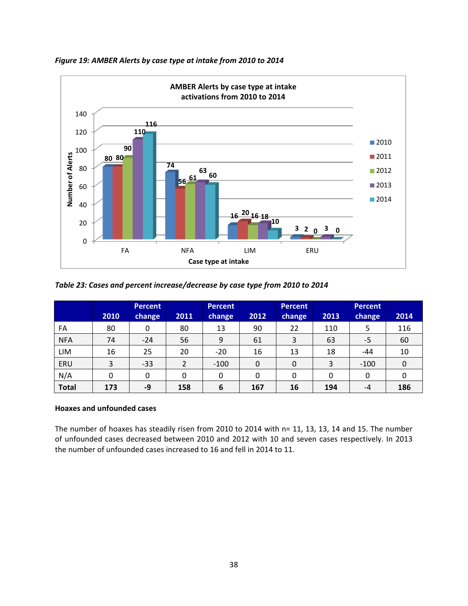

*Figure 19: AMBER Alerts by case type at intake from 2010 to 2014*

| Table 23: Cases and percent increase/decrease by case type from 2010 to 2014 |  |  |  |  |  |
|------------------------------------------------------------------------------|--|--|--|--|--|
|------------------------------------------------------------------------------|--|--|--|--|--|

|              |      | <b>Percent</b> |                | <b>Percent</b> |          | <b>Percent</b> |      | <b>Percent</b> |      |
|--------------|------|----------------|----------------|----------------|----------|----------------|------|----------------|------|
|              | 2010 | <b>change</b>  | 2011           | <b>change</b>  | 2012     | <b>change</b>  | 2013 | <b>change</b>  | 2014 |
| FA           | 80   | 0              | 80             | 13             | 90       | 22             | 110  | 5              | 116  |
| <b>NFA</b>   | 74   | $-24$          | 56             | 9              | 61       | 3              | 63   | -5             | 60   |
| LIM          | 16   | 25             | 20             | $-20$          | 16       | 13             | 18   | $-44$          | 10   |
| ERU          | 3    | $-33$          | $\overline{2}$ | $-100$         | $\Omega$ | 0              | 3    | $-100$         |      |
| N/A          |      | 0              | 0              | 0              | 0        | 0              | 0    | 0              |      |
| <b>Total</b> | 173  | -9             | 158            | 6              | 167      | 16             | 194  | -4             | 186  |

# **Hoaxes and unfounded cases**

The number of hoaxes has steadily risen from 2010 to 2014 with n= 11, 13, 13, 14 and 15. The number of unfounded cases decreased between 2010 and 2012 with 10 and seven cases respectively. In 2013 the number of unfounded cases increased to 16 and fell in 2014 to 11.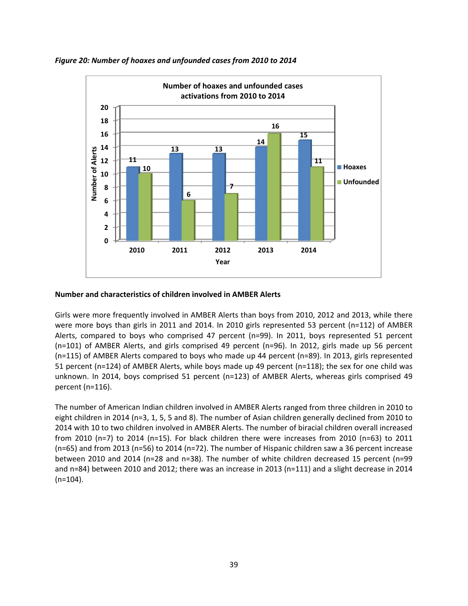



## **Number and characteristics of children involved in AMBER Alerts**

Girls were more frequently involved in AMBER Alerts than boys from 2010, 2012 and 2013, while there were more boys than girls in 2011 and 2014. In 2010 girls represented 53 percent (n=112) of AMBER Alerts, compared to boys who comprised 47 percent (n=99). In 2011, boys represented 51 percent (n=101) of AMBER Alerts, and girls comprised 49 percent (n=96). In 2012, girls made up 56 percent (n=115) of AMBER Alerts compared to boys who made up 44 percent (n=89). In 2013, girls represented 51 percent (n=124) of AMBER Alerts, while boys made up 49 percent (n=118); the sex for one child was unknown. In 2014, boys comprised 51 percent (n=123) of AMBER Alerts, whereas girls comprised 49 percent (n=116).

The number of American Indian children involved in AMBER Alerts ranged from three children in 2010 to eight children in 2014 (n=3, 1, 5, 5 and 8). The number of Asian children generally declined from 2010 to 2014 with 10 to two children involved in AMBER Alerts. The number of biracial children overall increased from 2010 (n=7) to 2014 (n=15). For black children there were increases from 2010 (n=63) to 2011 (n=65) and from 2013 (n=56) to 2014 (n=72). The number of Hispanic children saw a 36 percent increase between 2010 and 2014 (n=28 and n=38). The number of white children decreased 15 percent (n=99 and n=84) between 2010 and 2012; there was an increase in 2013 (n=111) and a slight decrease in 2014  $(n=104)$ .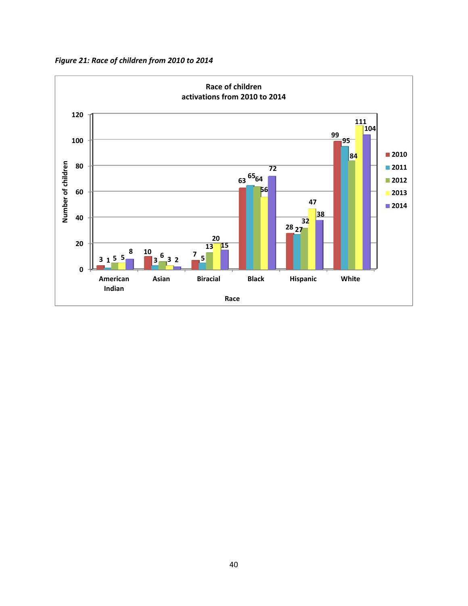*Figure 21: Race of children from 2010 to 2014*

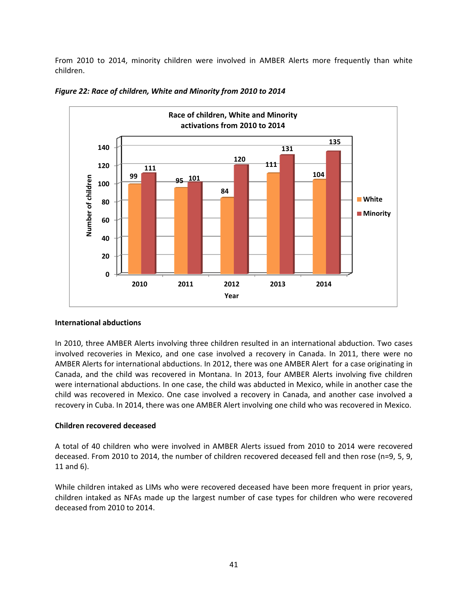From 2010 to 2014, minority children were involved in AMBER Alerts more frequently than white children.



*Figure 22: Race of children, White and Minority from 2010 to 2014*

# **International abductions**

In 2010, three AMBER Alerts involving three children resulted in an international abduction. Two cases involved recoveries in Mexico, and one case involved a recovery in Canada. In 2011, there were no AMBER Alerts for international abductions. In 2012, there was one AMBER Alert for a case originating in Canada, and the child was recovered in Montana. In 2013, four AMBER Alerts involving five children were international abductions. In one case, the child was abducted in Mexico, while in another case the child was recovered in Mexico. One case involved a recovery in Canada, and another case involved a recovery in Cuba. In 2014, there was one AMBER Alert involving one child who was recovered in Mexico.

# **Children recovered deceased**

A total of 40 children who were involved in AMBER Alerts issued from 2010 to 2014 were recovered deceased. From 2010 to 2014, the number of children recovered deceased fell and then rose (n=9, 5, 9, 11 and 6).

While children intaked as LIMs who were recovered deceased have been more frequent in prior years, children intaked as NFAs made up the largest number of case types for children who were recovered deceased from 2010 to 2014.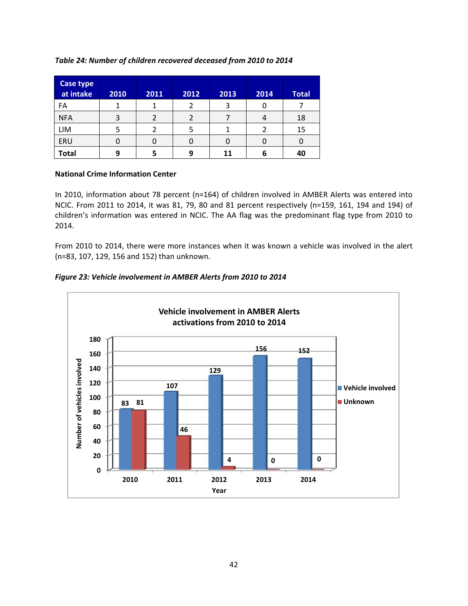# *Table 24: Number of children recovered deceased from 2010 to 2014*

| Case type<br>at intake | 2010 | 2011 | 2012 | 2013 | 2014 | <b>Total</b> |
|------------------------|------|------|------|------|------|--------------|
| FA                     |      |      |      | 3    |      |              |
| <b>NFA</b>             | 3    |      |      |      |      | 18           |
| LIM                    |      |      | 5    |      |      | 15           |
| ERU                    |      | U    | 0    |      |      |              |
| <b>Total</b>           | 9    |      | 9    | 11   |      | 40           |

## **National Crime Information Center**

In 2010, information about 78 percent (n=164) of children involved in AMBER Alerts was entered into NCIC. From 2011 to 2014, it was 81, 79, 80 and 81 percent respectively (n=159, 161, 194 and 194) of children's information was entered in NCIC. The AA flag was the predominant flag type from 2010 to 2014.

From 2010 to 2014, there were more instances when it was known a vehicle was involved in the alert (n=83, 107, 129, 156 and 152) than unknown.



# *Figure 23: Vehicle involvement in AMBER Alerts from 2010 to 2014*